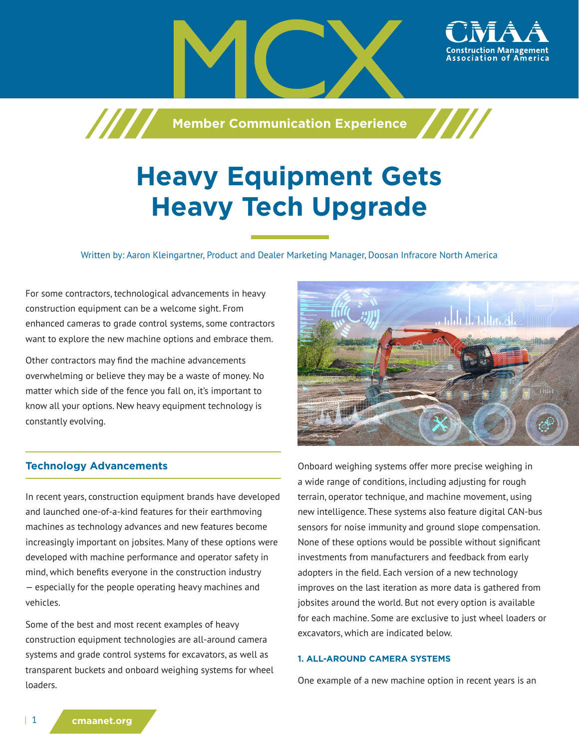

# **Heavy Equipment Gets Heavy Tech Upgrade**

Written by: Aaron Kleingartner, Product and Dealer Marketing Manager, Doosan Infracore North America

For some contractors, technological advancements in heavy construction equipment can be a welcome sight. From enhanced cameras to grade control systems, some contractors want to explore the new machine options and embrace them.

Other contractors may find the machine advancements overwhelming or believe they may be a waste of money. No matter which side of the fence you fall on, it's important to know all your options. New heavy equipment technology is constantly evolving.

## **Technology Advancements**

In recent years, construction equipment brands have developed and launched one-of-a-kind features for their earthmoving machines as technology advances and new features become increasingly important on jobsites. Many of these options were developed with machine performance and operator safety in mind, which benefits everyone in the construction industry — especially for the people operating heavy machines and vehicles.

Some of the best and most recent examples of heavy construction equipment technologies are all-around camera systems and grade control systems for excavators, as well as transparent buckets and onboard weighing systems for wheel loaders.



Onboard weighing systems offer more precise weighing in a wide range of conditions, including adjusting for rough terrain, operator technique, and machine movement, using new intelligence. These systems also feature digital CAN-bus sensors for noise immunity and ground slope compensation. None of these options would be possible without significant investments from manufacturers and feedback from early adopters in the field. Each version of a new technology improves on the last iteration as more data is gathered from jobsites around the world. But not every option is available for each machine. Some are exclusive to just wheel loaders or excavators, which are indicated below.

## **1. ALL-AROUND CAMERA SYSTEMS**

One example of a new machine option in recent years is an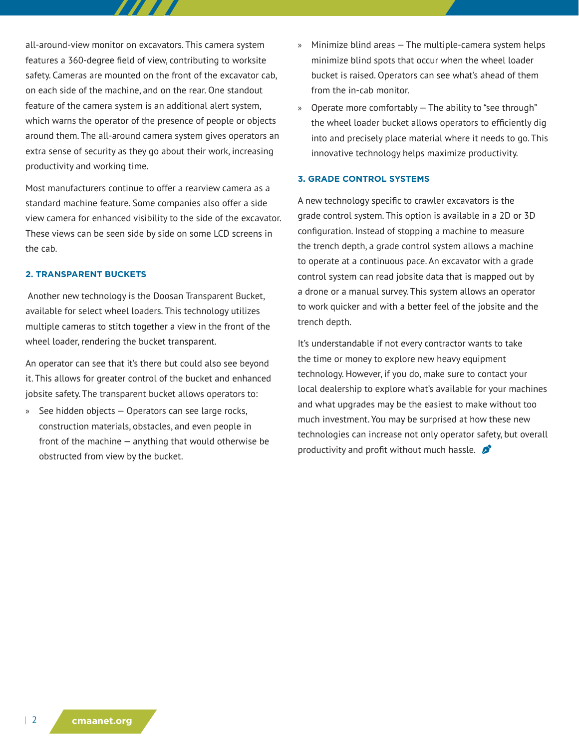all-around-view monitor on excavators. This camera system features a 360-degree field of view, contributing to worksite safety. Cameras are mounted on the front of the excavator cab, on each side of the machine, and on the rear. One standout feature of the camera system is an additional alert system, which warns the operator of the presence of people or objects around them. The all-around camera system gives operators an extra sense of security as they go about their work, increasing productivity and working time.

Most manufacturers continue to offer a rearview camera as a standard machine feature. Some companies also offer a side view camera for enhanced visibility to the side of the excavator. These views can be seen side by side on some LCD screens in the cab.

#### **2. TRANSPARENT BUCKETS**

 Another new technology is the Doosan Transparent Bucket, available for select wheel loaders. This technology utilizes multiple cameras to stitch together a view in the front of the wheel loader, rendering the bucket transparent.

An operator can see that it's there but could also see beyond it. This allows for greater control of the bucket and enhanced jobsite safety. The transparent bucket allows operators to:

» See hidden objects — Operators can see large rocks, construction materials, obstacles, and even people in front of the machine — anything that would otherwise be obstructed from view by the bucket.

- » Minimize blind areas The multiple-camera system helps minimize blind spots that occur when the wheel loader bucket is raised. Operators can see what's ahead of them from the in-cab monitor.
- » Operate more comfortably The ability to "see through" the wheel loader bucket allows operators to efficiently dig into and precisely place material where it needs to go. This innovative technology helps maximize productivity.

#### **3. GRADE CONTROL SYSTEMS**

A new technology specific to crawler excavators is the grade control system. This option is available in a 2D or 3D configuration. Instead of stopping a machine to measure the trench depth, a grade control system allows a machine to operate at a continuous pace. An excavator with a grade control system can read jobsite data that is mapped out by a drone or a manual survey. This system allows an operator to work quicker and with a better feel of the jobsite and the trench depth.

It's understandable if not every contractor wants to take the time or money to explore new heavy equipment technology. However, if you do, make sure to contact your local dealership to explore what's available for your machines and what upgrades may be the easiest to make without too much investment. You may be surprised at how these new technologies can increase not only operator safety, but overall productivity and profit without much hassle.  $\mathcal{L}$